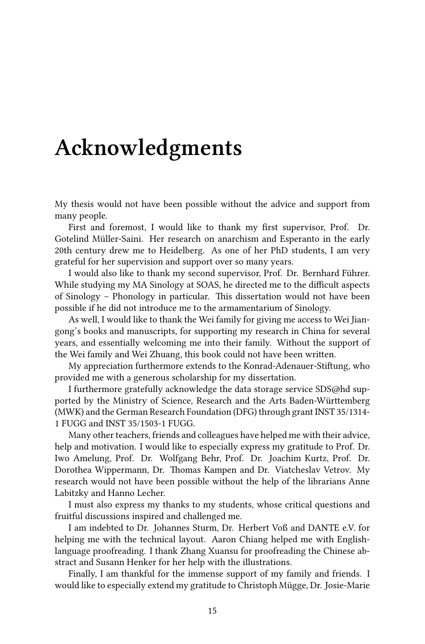## **Acknowledgments**

My thesis would not have been possible without the advice and support from many people.

First and foremost, I would like to thank my first supervisor, Prof. Dr. Gotelind Müller-Saini. Her research on anarchism and Esperanto in the early 20th century drew me to Heidelberg. As one of her PhD students, I am very grateful for her supervision and support over so many years.

I would also like to thank my second supervisor, Prof. Dr. Bernhard Führer. While studying my MA Sinology at SOAS, he directed me to the difficult aspects of Sinology – Phonology in particular. This dissertation would not have been possible if he did not introduce me to the armamentarium of Sinology.

As well, I would like to thank the Wei family for giving me access to Wei Jiangong's books and manuscripts, for supporting my research in China for several years, and essentially welcoming me into their family. Without the support of the Wei family and Wei Zhuang, this book could not have been written.

My appreciation furthermore extends to the Konrad-Adenauer-Stiftung, who provided me with a generous scholarship for my dissertation.

I furthermore gratefully acknowledge the data storage service SDS@hd supported by the Ministry of Science, Research and the Arts Baden-Württemberg (MWK) and the German Research Foundation (DFG) through grant INST 35/1314- 1 FUGG and INST 35/1503-1 FUGG.

Many other teachers, friends and colleagues have helped me with their advice, help and motivation. I would like to especially express my gratitude to Prof. Dr. Iwo Amelung, Prof. Dr. Wolfgang Behr, Prof. Dr. Joachim Kurtz, Prof. Dr. Dorothea Wippermann, Dr. Thomas Kampen and Dr. Viatcheslav Vetrov. My research would not have been possible without the help of the librarians Anne Labitzky and Hanno Lecher.

I must also express my thanks to my students, whose critical questions and fruitful discussions inspired and challenged me.

I am indebted to Dr. Johannes Sturm, Dr. Herbert Voß and DANTE e.V. for helping me with the technical layout. Aaron Chiang helped me with Englishlanguage proofreading. I thank Zhang Xuansu for proofreading the Chinese abstract and Susann Henker for her help with the illustrations.

Finally, I am thankful for the immense support of my family and friends. I would like to especially extend my gratitude to Christoph Mügge, Dr. Josie-Marie